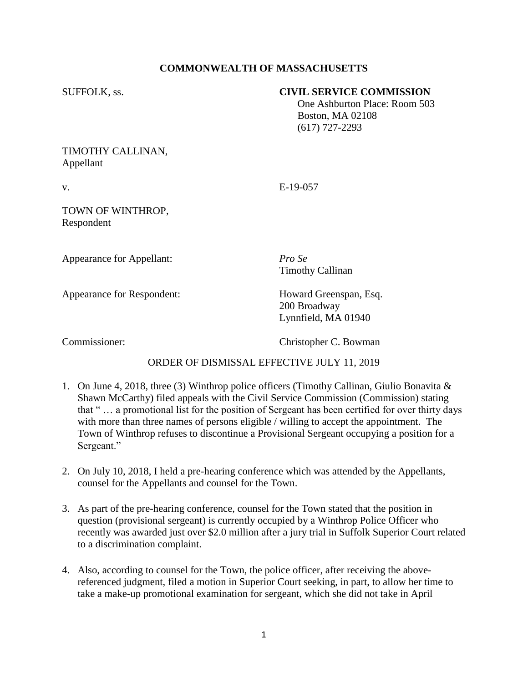# **COMMONWEALTH OF MASSACHUSETTS**

### SUFFOLK, ss. **CIVIL SERVICE COMMISSION**

 One Ashburton Place: Room 503 Boston, MA 02108 (617) 727-2293

### TIMOTHY CALLINAN, Appellant

v. E-19-057

### TOWN OF WINTHROP, Respondent

Appearance for Appellant: *Pro Se*

Timothy Callinan

Appearance for Respondent: Howard Greenspan, Esq.

200 Broadway Lynnfield, MA 01940

Commissioner: Christopher C. Bowman

# ORDER OF DISMISSAL EFFECTIVE JULY 11, 2019

- 1. On June 4, 2018, three (3) Winthrop police officers (Timothy Callinan, Giulio Bonavita & Shawn McCarthy) filed appeals with the Civil Service Commission (Commission) stating that " … a promotional list for the position of Sergeant has been certified for over thirty days with more than three names of persons eligible / willing to accept the appointment. The Town of Winthrop refuses to discontinue a Provisional Sergeant occupying a position for a Sergeant."
- 2. On July 10, 2018, I held a pre-hearing conference which was attended by the Appellants, counsel for the Appellants and counsel for the Town.
- 3. As part of the pre-hearing conference, counsel for the Town stated that the position in question (provisional sergeant) is currently occupied by a Winthrop Police Officer who recently was awarded just over \$2.0 million after a jury trial in Suffolk Superior Court related to a discrimination complaint.
- 4. Also, according to counsel for the Town, the police officer, after receiving the abovereferenced judgment, filed a motion in Superior Court seeking, in part, to allow her time to take a make-up promotional examination for sergeant, which she did not take in April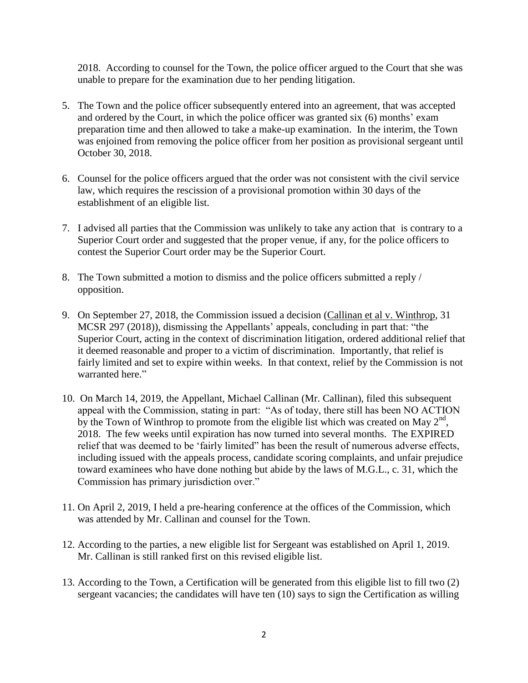2018. According to counsel for the Town, the police officer argued to the Court that she was unable to prepare for the examination due to her pending litigation.

- 5. The Town and the police officer subsequently entered into an agreement, that was accepted and ordered by the Court, in which the police officer was granted six (6) months' exam preparation time and then allowed to take a make-up examination. In the interim, the Town was enjoined from removing the police officer from her position as provisional sergeant until October 30, 2018.
- 6. Counsel for the police officers argued that the order was not consistent with the civil service law, which requires the rescission of a provisional promotion within 30 days of the establishment of an eligible list.
- 7. I advised all parties that the Commission was unlikely to take any action that is contrary to a Superior Court order and suggested that the proper venue, if any, for the police officers to contest the Superior Court order may be the Superior Court.
- 8. The Town submitted a motion to dismiss and the police officers submitted a reply / opposition.
- 9. On September 27, 2018, the Commission issued a decision (Callinan et al v. Winthrop, 31 MCSR 297 (2018)), dismissing the Appellants' appeals, concluding in part that: "the Superior Court, acting in the context of discrimination litigation, ordered additional relief that it deemed reasonable and proper to a victim of discrimination. Importantly, that relief is fairly limited and set to expire within weeks. In that context, relief by the Commission is not warranted here."
- 10. On March 14, 2019, the Appellant, Michael Callinan (Mr. Callinan), filed this subsequent appeal with the Commission, stating in part: "As of today, there still has been NO ACTION by the Town of Winthrop to promote from the eligible list which was created on May  $2<sup>nd</sup>$ , 2018. The few weeks until expiration has now turned into several months. The EXPIRED relief that was deemed to be 'fairly limited" has been the result of numerous adverse effects, including issued with the appeals process, candidate scoring complaints, and unfair prejudice toward examinees who have done nothing but abide by the laws of M.G.L., c. 31, which the Commission has primary jurisdiction over."
- 11. On April 2, 2019, I held a pre-hearing conference at the offices of the Commission, which was attended by Mr. Callinan and counsel for the Town.
- 12. According to the parties, a new eligible list for Sergeant was established on April 1, 2019. Mr. Callinan is still ranked first on this revised eligible list.
- 13. According to the Town, a Certification will be generated from this eligible list to fill two (2) sergeant vacancies; the candidates will have ten (10) says to sign the Certification as willing